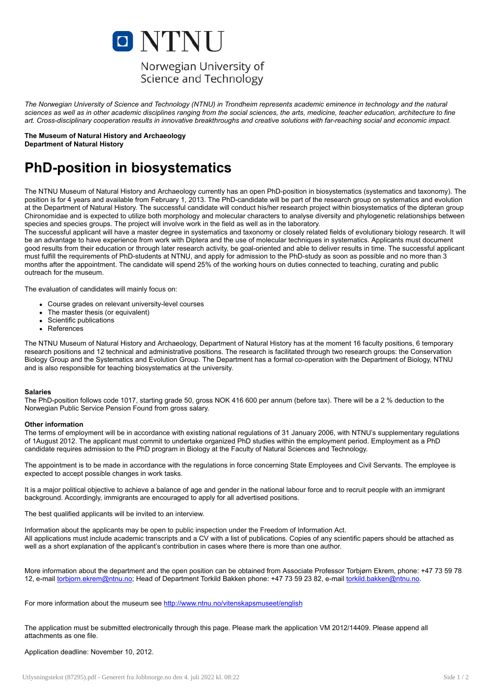

The Norwegian University of Science and Technology (NTNU) in Trondheim represents academic eminence in technology and the natural sciences as well as in other academic disciplines ranging from the social sciences, the arts, medicine, teacher education, architecture to fine art. Cross-disciplinary cooperation results in innovative breakthroughs and creative solutions with far-reaching social and economic impact.

The Museum of Natural History and Archaeology Department of Natural History

## PhD-position in biosystematics

The NTNU Museum of Natural History and Archaeology currently has an open PhD-position in biosystematics (systematics and taxonomy). The position is for 4 years and available from February 1, 2013. The PhD-candidate will be part of the research group on systematics and evolution at the Department of Natural History. The successful candidate will conduct his/her research project within biosystematics of the dipteran group Chironomidae and is expected to utilize both morphology and molecular characters to analyse diversity and phylogenetic relationships between species and species groups. The project will involve work in the field as well as in the laboratory.

The successful applicant will have a master degree in systematics and taxonomy or closely related fields of evolutionary biology research. It will be an advantage to have experience from work with Diptera and the use of molecular techniques in systematics. Applicants must document good results from their education or through later research activity, be goal-oriented and able to deliver results in time. The successful applicant must fulfill the requirements of PhD-students at NTNU, and apply for admission to the PhD-study as soon as possible and no more than 3 months after the appointment. The candidate will spend 25% of the working hours on duties connected to teaching, curating and public outreach for the museum.

The evaluation of candidates will mainly focus on:

- Course grades on relevant university-level courses
- The master thesis (or equivalent)
- Scientific publications
- References

The NTNU Museum of Natural History and Archaeology, Department of Natural History has at the moment 16 faculty positions, 6 temporary research positions and 12 technical and administrative positions. The research is facilitated through two research groups: the Conservation Biology Group and the Systematics and Evolution Group. The Department has a formal co-operation with the Department of Biology, NTNU and is also responsible for teaching biosystematics at the university.

## Salaries

The PhD-position follows code 1017, starting grade 50, gross NOK 416 600 per annum (before tax). There will be a 2 % deduction to the Norwegian Public Service Pension Found from gross salary.

## Other information

The terms of employment will be in accordance with existing national regulations of 31 January 2006, with NTNU's supplementary regulations of 1August 2012. The applicant must commit to undertake organized PhD studies within the employment period. Employment as a PhD candidate requires admission to the PhD program in Biology at the Faculty of Natural Sciences and Technology.

The appointment is to be made in accordance with the regulations in force concerning State Employees and Civil Servants. The employee is expected to accept possible changes in work tasks.

It is a major political objective to achieve a balance of age and gender in the national labour force and to recruit people with an immigrant background. Accordingly, immigrants are encouraged to apply for all advertised positions.

The best qualified applicants will be invited to an interview.

Information about the applicants may be open to public inspection under the Freedom of Information Act. All applications must include academic transcripts and a CV with a list of publications. Copies of any scientific papers should be attached as well as a short explanation of the applicant's contribution in cases where there is more than one author.

More information about the department and the open position can be obtained from Associate Professor Torbjørn Ekrem, phone: +47 73 59 78 12, e-mail [torbjorn.ekrem@ntnu.no;](mailto:torbjorn.ekrem@ntnu.no) Head of Department Torkild Bakken phone: +47 73 59 23 82, e-mail [torkild.bakken@ntnu.no](mailto:torkild.bakken@ntnu.no).

For more information about the museum see <http://www.ntnu.no/vitenskapsmuseet/english>

The application must be submitted electronically through this page. Please mark the application VM 2012/14409. Please append all attachments as one file.

Application deadline: November 10, 2012.